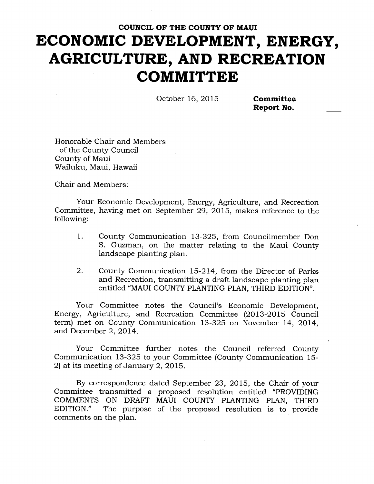October 16, 2015 **Committee** 

**Report No.** 

Honorable Chair and Members of the County Council County of Maui Wailuku, Maui, Hawaii

Chair and Members:

Your Economic Development, Energy, Agriculture, and Recreation Committee, having met on September 29, 2015, makes reference to the following:

- 1. County Communication 13-325, from Councilmember Don S. Guzman, on the matter relating to the Maui County landscape planting plan.
- 2. County Communication 15-214, from the Director of Parks and Recreation, transmitting a draft landscape planting plan entitled "MAUI COUNTY PLANTING PLAN, THIRD EDITION".

Your Committee notes the Council's Economic Development, Energy, Agriculture, and Recreation Committee (2013-2015 Council term) met on County Communication 13-325 on November 14, 2014, and December 2, 2014.

Your Committee further notes the Council referred County Communication 13-325 to your Committee (County Communication 15- 2) at its meeting of January 2, 2015.

By correspondence dated September 23, 2015, the Chair of your Committee transmitted a proposed resolution entitled "PROVIDING COMMENTS ON DRAFT MAUI COUNTY PLANTING PLAN, THIRD<br>EDITION." The purpose of the proposed resolution is to provide The purpose of the proposed resolution is to provide comments on the plan.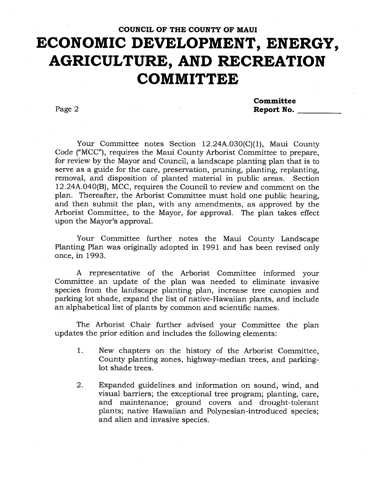**Committee**  Page 2 **Report No. Report No.** 

Your Committee notes Section 12.24A.030(C)(1), Maui County Code ("MCC"), requires the Maui County Arborist Committee to prepare, for review by the Mayor and Council, a landscape planting plan that is to serve as a guide for the care, preservation, pruning, planting, replanting, removal, and disposition of planted material in public areas. Section 12.24A.040(B), MCC, requires the Council to review and comment on the plan. Thereafter, the Arborist Committee must hold one public hearing, and then submit the plan, with any amendments, as approved by the Arborist Committee, to the Mayor, for approval. The plan takes effect upon the Mayor's approval.

Your Committee further notes the Maui County Landscape Planting Plan was originally adopted in 1991 and has been revised only once, in 1993.

A representative of the Arborist Committee informed your Committee an update of the plan was needed to eliminate invasive species from the landscape planting plan, increase tree canopies and parking lot shade, expand the list of native-Hawaiian plants, and include an alphabetical list of plants by common and scientific names.

The Arborist Chair further advised your Committee the plan updates the prior edition and includes the following elements:

- 1. New chapters on the history of the Arborist Committee, County planting zones, highway-median trees, and parkinglot shade trees.
- 2. Expanded guidelines and information on sound, wind, and visual barriers; the exceptional tree program; planting, care, and maintenance; ground covers and drought-tolerant plants; native Hawaiian and Polynesian-introduced species; and alien and invasive species.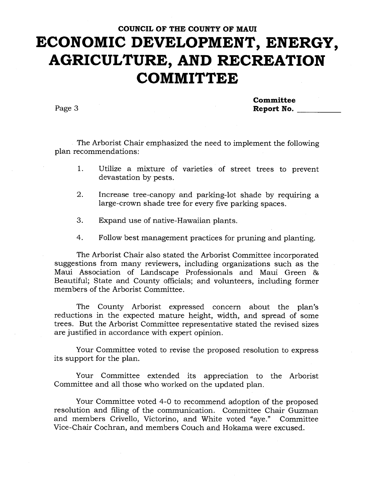**Committee**  Page 3 **Report No.** 

The Arborist Chair emphasized the need to implement the following plan recommendations:

- 1. Utilize a mixture of varieties of street trees to prevent devastation by pests.
- 2. Increase tree-canopy and parking-lot shade by requiring a large-crown shade tree for every five parking spaces.
- 3. Expand use of native-Hawaiian plants.
- 4. Follow best management practices for pruning and planting.

The Arborist Chair also stated the Arborist Committee incorporated suggestions from many reviewers, including organizations such as the Maui Association of Landscape Professionals and Maui Green 86 Beautiful; State and County officials; and volunteers, including former members of the Arborist Committee.

The County Arborist expressed concern about the plan's reductions in the expected mature height, width, and spread of some trees. But the Arborist Committee representative stated the revised sizes are justified in accordance with expert opinion.

Your Committee voted to revise the proposed resolution to express its support for the plan.

Your Committee extended its appreciation to the Arborist Committee and all those who worked on the updated plan.

Your Committee voted 4-0 to recommend adoption of the proposed resolution and filing of the communication. Committee Chair Guzman and members Crivello, Victorino, and White voted "aye." Committee Vice-Chair Cochran, and members Couch and Hokama were excused.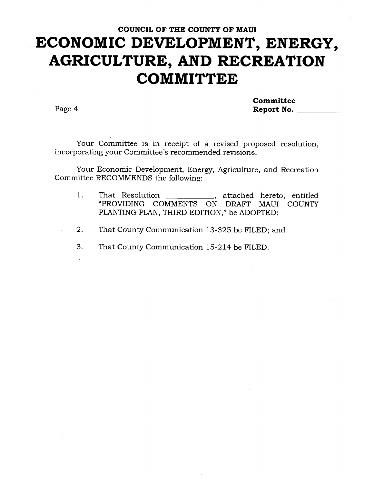**Committee**  Page 4 **Report No. Report No.** 

Your Committee is in receipt of a revised proposed resolution, incorporating your Committee's recommended revisions.

Your Economic Development, Energy, Agriculture, and Recreation Committee RECOMMENDS the following:

- 1. That Resolution \_\_\_\_\_\_\_\_\_\_\_\_, attached hereto, entitled "PROVIDING COMMENTS ON DRAFT MAUI COUNTY PLANTING PLAN, THIRD EDITION," be ADOPTED;
- 2. That County Communication 13-325 be FILED; and
- 3. That County Communication 15-214 be FILED.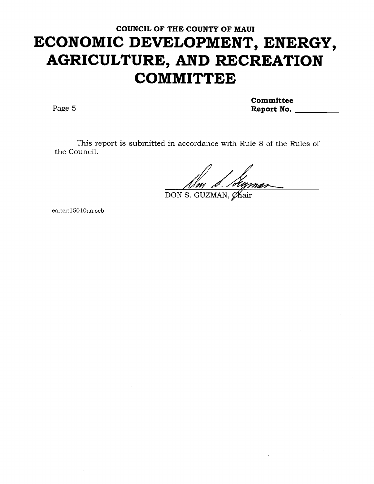**Committee**  Page 5 **Report No. Report No. Report No.** 

This report is submitted in accordance with Rule 8 of the Rules of the Council.

Avg

DON S. GUZMAN, Chair

ear:cr:15010aa:scb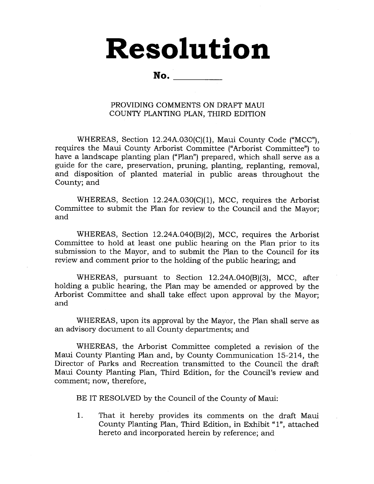# **Resolution**

**No.** 

#### PROVIDING COMMENTS ON DRAFT MAUI COUNTY PLANTING PLAN, THIRD EDITION

WHEREAS, Section 12.24A.030(C)(1), Maui County Code ("MCC"), requires the Maui County Arborist Committee ("Arborist Committee") to have a landscape planting plan ("Plan") prepared, which shall serve as a guide for the care, preservation, pruning, planting, replanting, removal, and disposition of planted material in public areas throughout the County; and

WHEREAS, Section 12.24A.030(C)(1), MCC, requires the Arborist Committee to submit the Plan for review to the Council and the Mayor; and

WHEREAS, Section 12.24A.040(B)(2), MCC, requires the Arborist Committee to hold at least one public hearing on the Plan prior to its submission to the Mayor, and to submit the Plan to the Council for its review and comment prior to the holding of the public hearing; and

WHEREAS, pursuant to Section 12.24A.040(B)(3), MCC, after holding a public hearing, the Plan may be amended or approved by the Arborist Committee and shall take effect upon approval by the Mayor; and

WHEREAS, upon its approval by the Mayor, the Plan shall serve as an advisory document to all County departments; and

WHEREAS, the Arborist Committee completed a revision of the Maui County Planting Plan and, by County Communication 15-214, the Director of Parks and Recreation transmitted to the Council the draft Maui County Planting Plan, Third Edition, for the Council's review and comment; now, therefore,

BE IT RESOLVED by the Council of the County of Maui:

1. That it hereby provides its comments on the draft Maui County Planting Plan, Third Edition, in Exhibit "1", attached hereto and incorporated herein by reference; and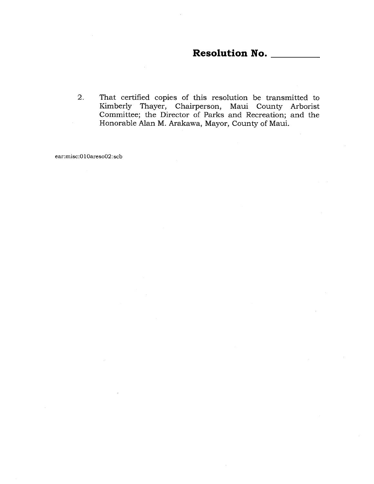#### **Resolution No.**

2. That certified copies of this resolution be transmitted to Kimberly Thayer, Chairperson, Maui County Arborist Committee; the Director of Parks and Recreation; and the Honorable Alan M. Arakawa, Mayor, County of Maui.

ear:misc:010areso02:scb